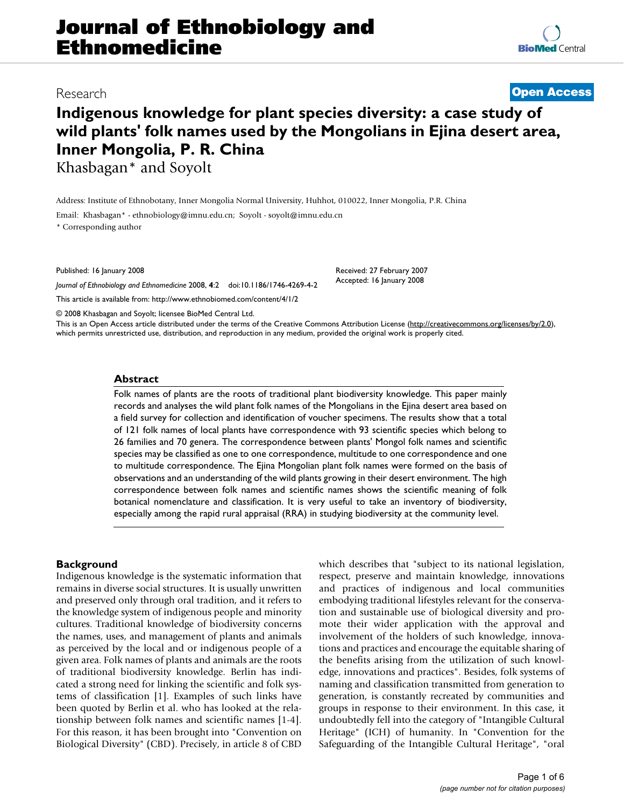# **Indigenous knowledge for plant species diversity: a case study of wild plants' folk names used by the Mongolians in Ejina desert area, Inner Mongolia, P. R. China**

Khasbagan\* and Soyolt

Address: Institute of Ethnobotany, Inner Mongolia Normal University, Huhhot, 010022, Inner Mongolia, P.R. China

Email: Khasbagan\* - ethnobiology@imnu.edu.cn; Soyolt - soyolt@imnu.edu.cn \* Corresponding author

Published: 16 January 2008

*Journal of Ethnobiology and Ethnomedicine* 2008, **4**:2 doi:10.1186/1746-4269-4-2

[This article is available from: http://www.ethnobiomed.com/content/4/1/2](http://www.ethnobiomed.com/content/4/1/2)

© 2008 Khasbagan and Soyolt; licensee BioMed Central Ltd.

This is an Open Access article distributed under the terms of the Creative Commons Attribution License [\(http://creativecommons.org/licenses/by/2.0\)](http://creativecommons.org/licenses/by/2.0), which permits unrestricted use, distribution, and reproduction in any medium, provided the original work is properly cited.

### **Abstract**

Folk names of plants are the roots of traditional plant biodiversity knowledge. This paper mainly records and analyses the wild plant folk names of the Mongolians in the Ejina desert area based on a field survey for collection and identification of voucher specimens. The results show that a total of 121 folk names of local plants have correspondence with 93 scientific species which belong to 26 families and 70 genera. The correspondence between plants' Mongol folk names and scientific species may be classified as one to one correspondence, multitude to one correspondence and one to multitude correspondence. The Ejina Mongolian plant folk names were formed on the basis of observations and an understanding of the wild plants growing in their desert environment. The high correspondence between folk names and scientific names shows the scientific meaning of folk botanical nomenclature and classification. It is very useful to take an inventory of biodiversity, especially among the rapid rural appraisal (RRA) in studying biodiversity at the community level.

# **Background**

Indigenous knowledge is the systematic information that remains in diverse social structures. It is usually unwritten and preserved only through oral tradition, and it refers to the knowledge system of indigenous people and minority cultures. Traditional knowledge of biodiversity concerns the names, uses, and management of plants and animals as perceived by the local and or indigenous people of a given area. Folk names of plants and animals are the roots of traditional biodiversity knowledge. Berlin has indicated a strong need for linking the scientific and folk systems of classification [1]. Examples of such links have been quoted by Berlin et al. who has looked at the relationship between folk names and scientific names [1-4]. For this reason, it has been brought into "Convention on Biological Diversity" (CBD). Precisely, in article 8 of CBD which describes that "subject to its national legislation, respect, preserve and maintain knowledge, innovations and practices of indigenous and local communities embodying traditional lifestyles relevant for the conservation and sustainable use of biological diversity and promote their wider application with the approval and involvement of the holders of such knowledge, innovations and practices and encourage the equitable sharing of the benefits arising from the utilization of such knowledge, innovations and practices". Besides, folk systems of naming and classification transmitted from generation to generation, is constantly recreated by communities and groups in response to their environment. In this case, it undoubtedly fell into the category of "Intangible Cultural Heritage" (ICH) of humanity. In "Convention for the Safeguarding of the Intangible Cultural Heritage", "oral

Research **[Open Access](http://www.biomedcentral.com/info/about/charter/)**

Received: 27 February 2007 Accepted: 16 January 2008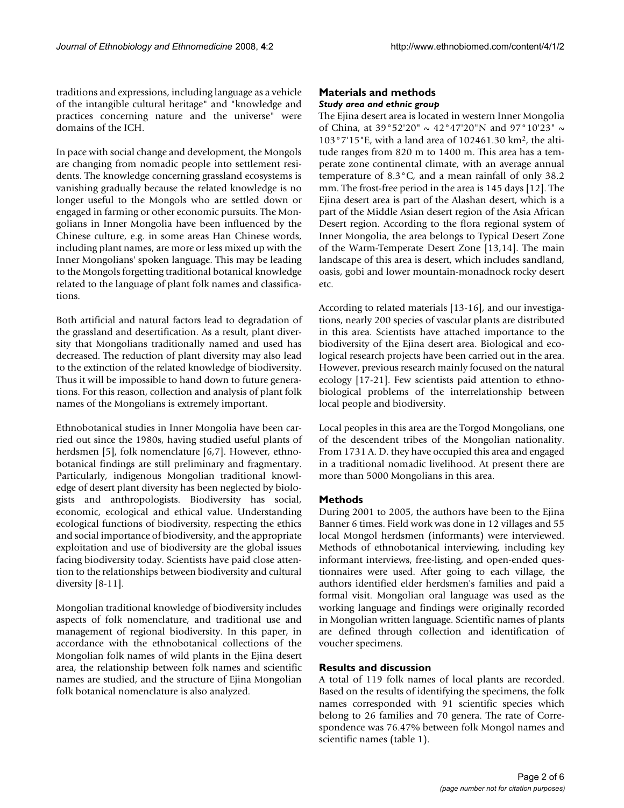traditions and expressions, including language as a vehicle of the intangible cultural heritage" and "knowledge and practices concerning nature and the universe" were domains of the ICH.

In pace with social change and development, the Mongols are changing from nomadic people into settlement residents. The knowledge concerning grassland ecosystems is vanishing gradually because the related knowledge is no longer useful to the Mongols who are settled down or engaged in farming or other economic pursuits. The Mongolians in Inner Mongolia have been influenced by the Chinese culture, e.g. in some areas Han Chinese words, including plant names, are more or less mixed up with the Inner Mongolians' spoken language. This may be leading to the Mongols forgetting traditional botanical knowledge related to the language of plant folk names and classifications.

Both artificial and natural factors lead to degradation of the grassland and desertification. As a result, plant diversity that Mongolians traditionally named and used has decreased. The reduction of plant diversity may also lead to the extinction of the related knowledge of biodiversity. Thus it will be impossible to hand down to future generations. For this reason, collection and analysis of plant folk names of the Mongolians is extremely important.

Ethnobotanical studies in Inner Mongolia have been carried out since the 1980s, having studied useful plants of herdsmen [5], folk nomenclature [6,7]. However, ethnobotanical findings are still preliminary and fragmentary. Particularly, indigenous Mongolian traditional knowledge of desert plant diversity has been neglected by biologists and anthropologists. Biodiversity has social, economic, ecological and ethical value. Understanding ecological functions of biodiversity, respecting the ethics and social importance of biodiversity, and the appropriate exploitation and use of biodiversity are the global issues facing biodiversity today. Scientists have paid close attention to the relationships between biodiversity and cultural diversity [8-11].

Mongolian traditional knowledge of biodiversity includes aspects of folk nomenclature, and traditional use and management of regional biodiversity. In this paper, in accordance with the ethnobotanical collections of the Mongolian folk names of wild plants in the Ejina desert area, the relationship between folk names and scientific names are studied, and the structure of Ejina Mongolian folk botanical nomenclature is also analyzed.

# **Materials and methods** *Study area and ethnic group*

The Ejina desert area is located in western Inner Mongolia of China, at 39°52'20" ~ 42°47'20"N and 97°10'23" ~ 103°7'15"E, with a land area of 102461.30 km2, the altitude ranges from 820 m to 1400 m. This area has a temperate zone continental climate, with an average annual temperature of 8.3°C, and a mean rainfall of only 38.2 mm. The frost-free period in the area is 145 days [12]. The Ejina desert area is part of the Alashan desert, which is a part of the Middle Asian desert region of the Asia African Desert region. According to the flora regional system of Inner Mongolia, the area belongs to Typical Desert Zone of the Warm-Temperate Desert Zone [13,14]. The main landscape of this area is desert, which includes sandland, oasis, gobi and lower mountain-monadnock rocky desert etc.

According to related materials [13-16], and our investigations, nearly 200 species of vascular plants are distributed in this area. Scientists have attached importance to the biodiversity of the Ejina desert area. Biological and ecological research projects have been carried out in the area. However, previous research mainly focused on the natural ecology [17-21]. Few scientists paid attention to ethnobiological problems of the interrelationship between local people and biodiversity.

Local peoples in this area are the Torgod Mongolians, one of the descendent tribes of the Mongolian nationality. From 1731 A. D. they have occupied this area and engaged in a traditional nomadic livelihood. At present there are more than 5000 Mongolians in this area.

# **Methods**

During 2001 to 2005, the authors have been to the Ejina Banner 6 times. Field work was done in 12 villages and 55 local Mongol herdsmen (informants) were interviewed. Methods of ethnobotanical interviewing, including key informant interviews, free-listing, and open-ended questionnaires were used. After going to each village, the authors identified elder herdsmen's families and paid a formal visit. Mongolian oral language was used as the working language and findings were originally recorded in Mongolian written language. Scientific names of plants are defined through collection and identification of voucher specimens.

# **Results and discussion**

A total of 119 folk names of local plants are recorded. Based on the results of identifying the specimens, the folk names corresponded with 91 scientific species which belong to 26 families and 70 genera. The rate of Correspondence was 76.47% between folk Mongol names and scientific names (table 1).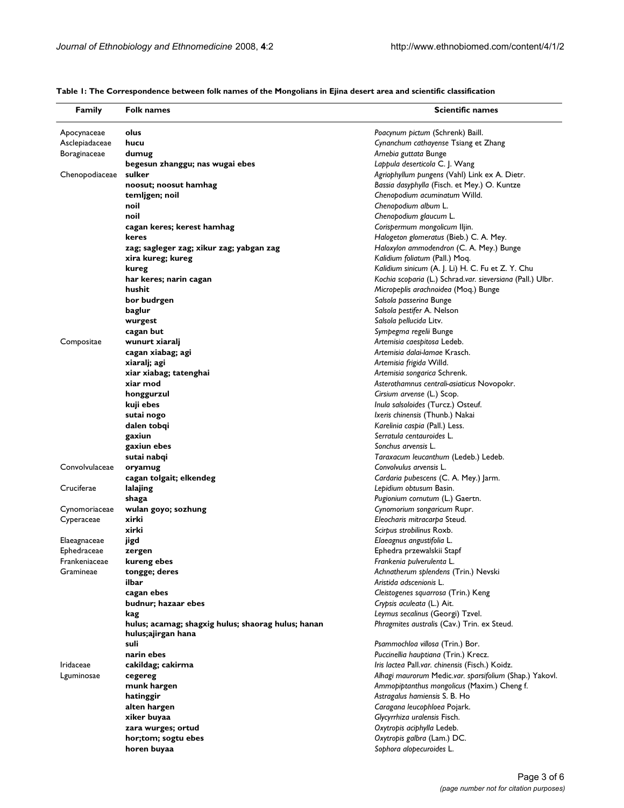| Family         | <b>Folk names</b>                                  | <b>Scientific names</b>                                    |
|----------------|----------------------------------------------------|------------------------------------------------------------|
| Apocynaceae    | olus                                               | Poacynum pictum (Schrenk) Baill.                           |
| Asclepiadaceae | hucu                                               | Cynanchum cathayense Tsiang et Zhang                       |
| Boraginaceae   | dumug                                              | Arnebia guttata Bunge                                      |
|                | begesun zhanggu; nas wugai ebes                    | Lappula deserticola C. J. Wang                             |
| Chenopodiaceae | sulker                                             | Agriophyllum pungens (Vahl) Link ex A. Dietr.              |
|                | noosut; noosut hamhag                              | Bassia dasyphylla (Fisch. et Mey.) O. Kuntze               |
|                | temljgen; noil                                     | Chenopodium acuminatum Willd.                              |
|                | noil                                               | Chenopodium album L.                                       |
|                | noil                                               | Chenopodium glaucum L.                                     |
|                | cagan keres; kerest hamhag                         | Corispermum mongolicum Iljin.                              |
|                | keres                                              | Halogeton glomeratus (Bieb.) C. A. Mey.                    |
|                |                                                    |                                                            |
|                | zag; sagleger zag; xikur zag; yabgan zag           | Haloxylon ammodendron (C. A. Mey.) Bunge                   |
|                | xira kureg; kureg                                  | Kalidium foliatum (Pall.) Moq.                             |
|                | kureg                                              | Kalidium sinicum (A. J. Li) H. C. Fu et Z. Y. Chu          |
|                | har keres; narin cagan                             | Kochia scoparia (L.) Schrad.var. sieversiana (Pall.) Ulbr. |
|                | hushit                                             | Micropeplis arachnoidea (Moq.) Bunge                       |
|                | bor budrgen                                        | Salsola passerina Bunge                                    |
|                | baglur                                             | Salsola pestifer A. Nelson                                 |
|                | wurgest                                            | Salsola pellucida Litv.                                    |
|                | cagan but                                          | Sympegma regelii Bunge                                     |
| Compositae     | wunurt xiaralj                                     | Artemisia caespitosa Ledeb.                                |
|                | cagan xiabag; agi                                  | Artemisia dalai-lamae Krasch.                              |
|                | xiaralj; agi                                       | Artemisia frigida Willd.                                   |
|                | xiar xiabag; tatenghai                             | Artemisia songarica Schrenk.                               |
|                | xiar mod                                           | Asterothamnus centrali-asiaticus Novopokr.                 |
|                | honggurzul                                         | Cirsium arvense (L.) Scop.                                 |
|                | kuji ebes                                          | Inula salsoloides (Turcz.) Osteuf.                         |
|                | sutai nogo                                         | Ixeris chinensis (Thunb.) Nakai                            |
|                | dalen tobqi                                        | Karelinia caspia (Pall.) Less.                             |
|                |                                                    | Serratula centauroides L.                                  |
|                | gaxiun                                             |                                                            |
|                | gaxiun ebes                                        | Sonchus arvensis L.                                        |
|                | sutai nabqi                                        | Taraxacum leucanthum (Ledeb.) Ledeb.                       |
| Convolvulaceae | oryamug                                            | Convolvulus arvensis L.                                    |
|                | cagan tolgait; elkendeg                            | Cardaria pubescens (C. A. Mey.) Jarm.                      |
| Cruciferae     | lalajing                                           | Lepidium obtusum Basin.                                    |
|                | shaga                                              | Pugionium cornutum (L.) Gaertn.                            |
| Cynomoriaceae  | wulan goyo; sozhung                                | Cynomorium songaricum Rupr.                                |
| Cyperaceae     | xirki                                              | Eleocharis mitracarpa Steud.                               |
|                | xirki                                              | Scirpus strobilinus Roxb.                                  |
| Elaeagnaceae   | jigd                                               | Elaeagnus angustifolia L.                                  |
| Ephedraceae    | zergen                                             | Ephedra przewalskii Stapf                                  |
| Frankeniaceae  | kureng ebes                                        | Frankenia pulverulenta L.                                  |
| Gramineae      | tongge; deres                                      | Achnatherum splendens (Trin.) Nevski                       |
|                | ilbar                                              | Aristida adscenionis L.                                    |
|                | cagan ebes                                         | Cleistogenes squarrosa (Trin.) Keng                        |
|                | budnur; hazaar ebes                                | Crypsis aculeata (L.) Ait.                                 |
|                | kag                                                | Leymus secalinus (Georgi) Tzvel.                           |
|                | hulus; acamag; shagxig hulus; shaorag hulus; hanan | Phragmites australis (Cav.) Trin. ex Steud.                |
|                | hulus;ajirgan hana                                 |                                                            |
|                | suli                                               | Psammochloa villosa (Trin.) Bor.                           |
|                | narin ebes                                         | Puccinellia hauptiana (Trin.) Krecz.                       |
| Iridaceae      | cakildag; cakirma                                  | Iris lactea Pall.var. chinensis (Fisch.) Koidz.            |
| Lguminosae     | cegereg                                            | Alhagi maurorum Medic.var. sparsifolium (Shap.) Yakovl.    |
|                | munk hargen                                        | Ammopiptanthus mongolicus (Maxim.) Cheng f.                |
|                | hatinggir                                          | Astragalus hamiensis S. B. Ho                              |
|                | alten hargen                                       | Caragana leucophloea Pojark.                               |
|                | xiker buyaa                                        | Glycyrrhiza uralensis Fisch.                               |
|                | zara wurges; ortud                                 | Oxytropis aciphylla Ledeb.                                 |
|                | hor;tom; sogtu ebes                                | Oxytropis galbra (Lam.) DC.                                |
|                | horen buyaa                                        | Sophora alopecuroides L.                                   |
|                |                                                    |                                                            |

**Table 1: The Correspondence between folk names of the Mongolians in Ejina desert area and scientific classification**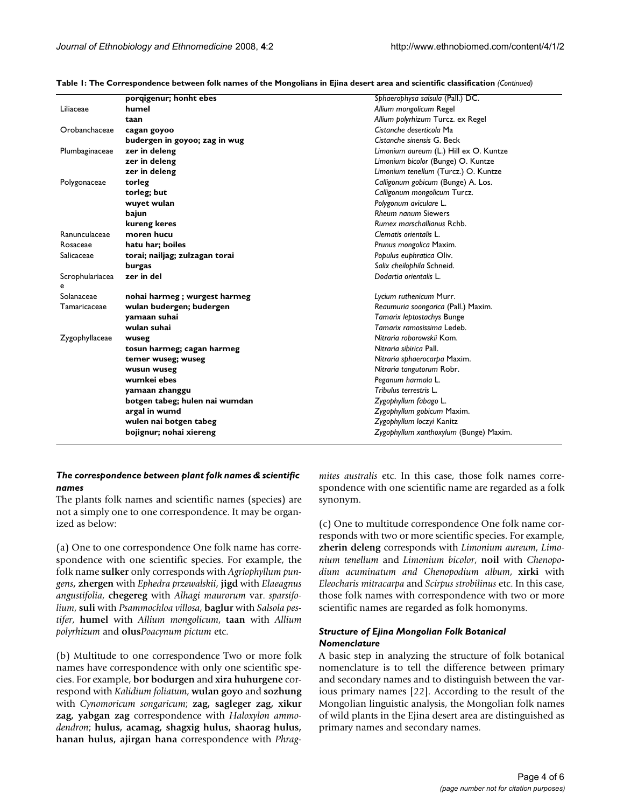|                 | porgigenur; honht ebes         | Sphaerophysa salsula (Pall.) DC.       |  |  |
|-----------------|--------------------------------|----------------------------------------|--|--|
| Liliaceae       | humel                          | Allium mongolicum Regel                |  |  |
|                 | taan                           | Allium polyrhizum Turcz. ex Regel      |  |  |
| Orobanchaceae   | cagan goyoo                    | Cistanche deserticola Ma               |  |  |
|                 | budergen in goyoo; zag in wug  | Cistanche sinensis G. Beck             |  |  |
| Plumbaginaceae  | zer in deleng                  | Limonium aureum (L.) Hill ex O. Kuntze |  |  |
|                 | zer in deleng                  | Limonium bicolor (Bunge) O. Kuntze     |  |  |
|                 | zer in deleng                  | Limonium tenellum (Turcz.) O. Kuntze   |  |  |
| Polygonaceae    | torleg                         | Calligonum gobicum (Bunge) A. Los.     |  |  |
|                 | torleg; but                    | Calligonum mongolicum Turcz.           |  |  |
|                 | wuyet wulan                    | Polygonum aviculare L.                 |  |  |
|                 | bajun                          | <b>Rheum nanum Siewers</b>             |  |  |
|                 | kureng keres                   | Rumex marschallianus Rchb.             |  |  |
| Ranunculaceae   | moren hucu                     | Clematis orientalis L.                 |  |  |
| Rosaceae        | hatu har; boiles               | Prunus mongolica Maxim.                |  |  |
| Salicaceae      | torai; nailjag; zulzagan torai | Populus euphratica Oliv.               |  |  |
|                 | burgas                         | Salix cheilophila Schneid.             |  |  |
| Scrophulariacea | zer in del                     | Dodartia orientalis L.                 |  |  |
| e               |                                |                                        |  |  |
| Solanaceae      | nohai harmeg; wurgest harmeg   | Lycium ruthenicum Murr.                |  |  |
| Tamaricaceae    | wulan budergen; budergen       | Reaumuria soongarica (Pall.) Maxim.    |  |  |
|                 | yamaan suhai                   | Tamarix leptostachys Bunge             |  |  |
|                 | wulan suhai                    | Tamarix ramosissima Ledeb.             |  |  |
| Zygophyllaceae  | wuseg                          | Nitraria roborowskij Kom.              |  |  |
|                 | tosun harmeg; cagan harmeg     | Nitraria sibirica Pall.                |  |  |
|                 | temer wuseg; wuseg             | Nitraria sphaerocarpa Maxim.           |  |  |
|                 | wusun wuseg                    | Nitraria tangutorum Robr.              |  |  |
|                 | wumkei ebes                    | Peganum harmala L.                     |  |  |
|                 | yamaan zhanggu                 | Tribulus terrestris L.                 |  |  |
|                 | botgen tabeg; hulen nai wumdan | Zygophyllum fabago L.                  |  |  |
|                 | argal in wumd                  | Zygophyllum gobicum Maxim.             |  |  |
|                 | wulen nai botgen tabeg         | Zygophyllum loczyi Kanitz              |  |  |
|                 | bojignur; nohai xiereng        | Zygophyllum xanthoxylum (Bunge) Maxim. |  |  |
|                 |                                |                                        |  |  |

**Table 1: The Correspondence between folk names of the Mongolians in Ejina desert area and scientific classification** *(Continued)*

# *The correspondence between plant folk names & scientific names*

The plants folk names and scientific names (species) are not a simply one to one correspondence. It may be organized as below:

(a) One to one correspondence One folk name has correspondence with one scientific species. For example, the folk name **sulker** only corresponds with *Agriophyllum pungens***, zhergen** with *Ephedra przewalskii*, **jigd** with *Elaeagnus angustifolia*, **chegereg** with *Alhagi maurorum* var. *sparsifolium*, **suli** with *Psammochloa villosa*, **baglur** with *Salsola pestifer*, **humel** with *Allium mongolicum*, **taan** with *Allium polyrhizum* and **olus***Poacynum pictum* etc.

(b) Multitude to one correspondence Two or more folk names have correspondence with only one scientific species. For example, **bor bodurgen** and **xira huhurgene** correspond with *Kalidium foliatum*, **wulan goyo** and **sozhung** with *Cynomoricum songaricum*; **zag, sagleger zag, xikur zag, yabgan zag** correspondence with *Haloxylon ammodendron*; **hulus, acamag, shagxig hulus, shaorag hulus, hanan hulus, ajirgan hana** correspondence with *Phrag-* *mites australis* etc. In this case, those folk names correspondence with one scientific name are regarded as a folk synonym.

(c) One to multitude correspondence One folk name corresponds with two or more scientific species. For example, **zherin deleng** corresponds with *Limonium aureum*, *Limonium tenellum* and *Limonium bicolor*, **noil** with *Chenopodium acuminatum and Chenopodium album*, **xirki** with *Eleocharis mitracarpa* and *Scirpus strobilinus* etc. In this case, those folk names with correspondence with two or more scientific names are regarded as folk homonyms.

# *Structure of Ejina Mongolian Folk Botanical Nomenclature*

A basic step in analyzing the structure of folk botanical nomenclature is to tell the difference between primary and secondary names and to distinguish between the various primary names [22]. According to the result of the Mongolian linguistic analysis, the Mongolian folk names of wild plants in the Ejina desert area are distinguished as primary names and secondary names.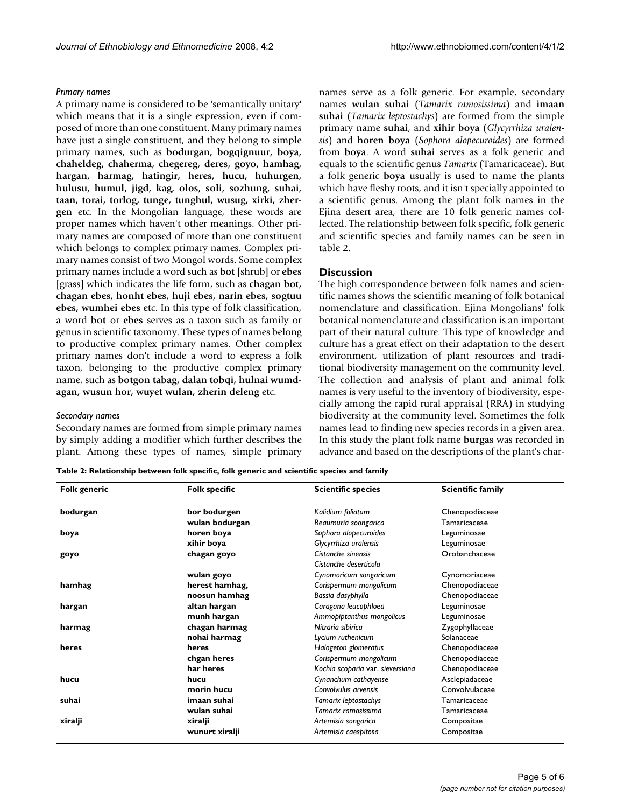### *Primary names*

A primary name is considered to be 'semantically unitary' which means that it is a single expression, even if composed of more than one constituent. Many primary names have just a single constituent, and they belong to simple primary names, such as **bodurgan, bogqignuur, boya, chaheldeg, chaherma, chegereg, deres, goyo, hamhag, hargan, harmag, hatingir, heres, hucu, huhurgen, hulusu, humul, jigd, kag, olos, soli, sozhung, suhai, taan, torai, torlog, tunge, tunghul, wusug, xirki, zhergen** etc. In the Mongolian language, these words are proper names which haven't other meanings. Other primary names are composed of more than one constituent which belongs to complex primary names. Complex primary names consist of two Mongol words. Some complex primary names include a word such as **bot** [shrub] or **ebes** [grass] which indicates the life form, such as **chagan bot, chagan ebes, honht ebes, huji ebes, narin ebes, sogtuu ebes, wumhei ebes** etc. In this type of folk classification, a word **bot** or **ebes** serves as a taxon such as family or genus in scientific taxonomy. These types of names belong to productive complex primary names. Other complex primary names don't include a word to express a folk taxon, belonging to the productive complex primary name, such as **botgon tabag, dalan tobqi, hulnai wumdagan, wusun hor, wuyet wulan, zherin deleng** etc.

#### *Secondary names*

Secondary names are formed from simple primary names by simply adding a modifier which further describes the plant. Among these types of names, simple primary names serve as a folk generic. For example, secondary names **wulan suhai** (*Tamarix ramosissima*) and **imaan suhai** (*Tamarix leptostachys*) are formed from the simple primary name **suhai**, and **xihir boya** (*Glycyrrhiza uralensis*) and **horen boya** (*Sophora alopecuroides*) are formed from **boya**. A word **suhai** serves as a folk generic and equals to the scientific genus *Tamarix* (Tamaricaceae). But a folk generic **boya** usually is used to name the plants which have fleshy roots, and it isn't specially appointed to a scientific genus. Among the plant folk names in the Ejina desert area, there are 10 folk generic names collected. The relationship between folk specific, folk generic and scientific species and family names can be seen in table 2.

# **Discussion**

The high correspondence between folk names and scientific names shows the scientific meaning of folk botanical nomenclature and classification. Ejina Mongolians' folk botanical nomenclature and classification is an important part of their natural culture. This type of knowledge and culture has a great effect on their adaptation to the desert environment, utilization of plant resources and traditional biodiversity management on the community level. The collection and analysis of plant and animal folk names is very useful to the inventory of biodiversity, especially among the rapid rural appraisal (RRA) in studying biodiversity at the community level. Sometimes the folk names lead to finding new species records in a given area. In this study the plant folk name **burgas** was recorded in advance and based on the descriptions of the plant's char-

**Table 2: Relationship between folk specific, folk generic and scientific species and family**

| <b>Folk generic</b> | <b>Folk specific</b> | <b>Scientific species</b>        | <b>Scientific family</b> |
|---------------------|----------------------|----------------------------------|--------------------------|
| bodurgan            | bor bodurgen         | Kalidium foliatum                | Chenopodiaceae           |
|                     | wulan bodurgan       | Reaumuria soongarica             | Tamaricaceae             |
| boya                | horen boya           | Sophora alopecuroides            | Leguminosae              |
|                     | xihir boya           | Glycyrrhiza uralensis            | Leguminosae              |
| goyo                | chagan goyo          | Cistanche sinensis               | Orobanchaceae            |
|                     |                      | Cistanche deserticola            |                          |
|                     | wulan goyo           | Cynomoricum songaricum           | Cynomoriaceae            |
| hamhag              | herest hamhag,       | Corispermum mongolicum           | Chenopodiaceae           |
|                     | noosun hamhag        | Bassia dasyphylla                | Chenopodiaceae           |
| hargan              | altan hargan         | Caragana leucophloea             | Leguminosae              |
|                     | munh hargan          | Ammopiptanthus mongolicus        | Leguminosae              |
| harmag              | chagan harmag        | Nitraria sibirica                | Zygophyllaceae           |
|                     | nohai harmag         | Lycium ruthenicum                | Solanaceae               |
| heres               | heres                | Halogeton glomeratus             | Chenopodiaceae           |
|                     | chgan heres          | Corispermum mongolicum           | Chenopodiaceae           |
|                     | har heres            | Kochia scoparia var. sieversiana | Chenopodiaceae           |
| hucu                | hucu                 | Cynanchum cathayense             | Asclepiadaceae           |
|                     | morin hucu           | Convolvulus arvensis             | Convolvulaceae           |
| suhai               | imaan suhai          | Tamarix leptostachys             | Tamaricaceae             |
|                     | wulan suhai          | Tamarix ramosissima              | Tamaricaceae             |
| xiralji             | xiralji              | Artemisia songarica              | Compositae               |
|                     | wunurt xiralji       | Artemisia caespitosa             | Compositae               |